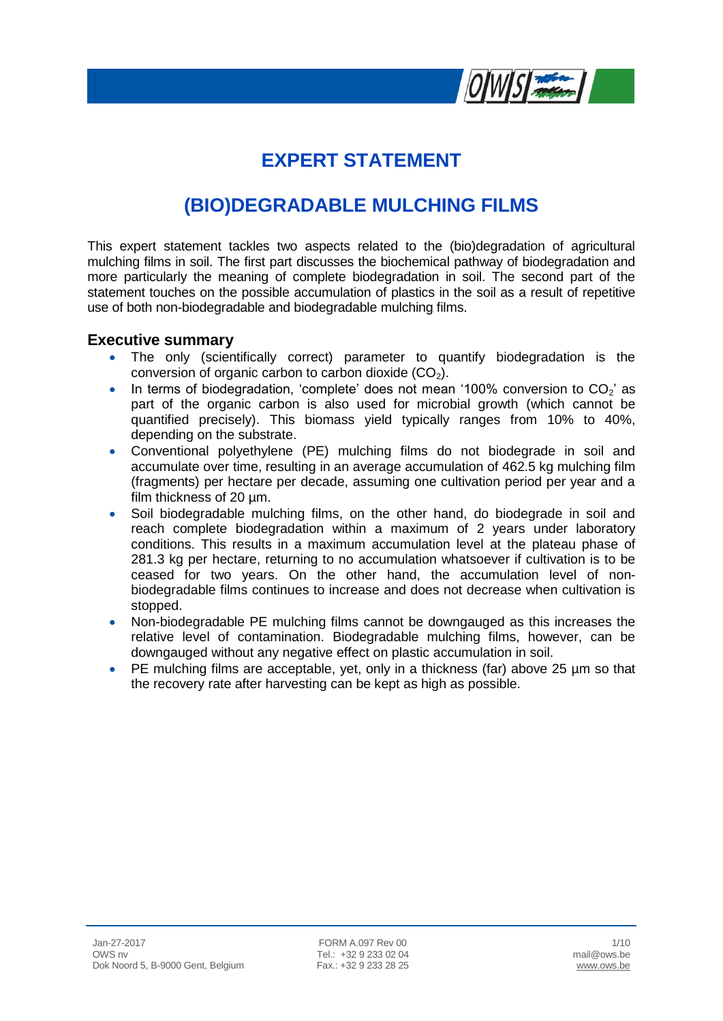

# **EXPERT STATEMENT**

## **(BIO)DEGRADABLE MULCHING FILMS**

This expert statement tackles two aspects related to the (bio)degradation of agricultural mulching films in soil. The first part discusses the biochemical pathway of biodegradation and more particularly the meaning of complete biodegradation in soil. The second part of the statement touches on the possible accumulation of plastics in the soil as a result of repetitive use of both non-biodegradable and biodegradable mulching films.

#### **Executive summary**

- The only (scientifically correct) parameter to quantify biodegradation is the conversion of organic carbon to carbon dioxide  $(CO<sub>2</sub>)$ .
- In terms of biodegradation, 'complete' does not mean '100% conversion to  $CO_2$ ' as part of the organic carbon is also used for microbial growth (which cannot be quantified precisely). This biomass yield typically ranges from 10% to 40%, depending on the substrate.
- Conventional polyethylene (PE) mulching films do not biodegrade in soil and accumulate over time, resulting in an average accumulation of 462.5 kg mulching film (fragments) per hectare per decade, assuming one cultivation period per year and a film thickness of 20  $\mu$ m.
- Soil biodegradable mulching films, on the other hand, do biodegrade in soil and reach complete biodegradation within a maximum of 2 years under laboratory conditions. This results in a maximum accumulation level at the plateau phase of 281.3 kg per hectare, returning to no accumulation whatsoever if cultivation is to be ceased for two years. On the other hand, the accumulation level of nonbiodegradable films continues to increase and does not decrease when cultivation is stopped.
- Non-biodegradable PE mulching films cannot be downgauged as this increases the relative level of contamination. Biodegradable mulching films, however, can be downgauged without any negative effect on plastic accumulation in soil.
- PE mulching films are acceptable, yet, only in a thickness (far) above 25 µm so that the recovery rate after harvesting can be kept as high as possible.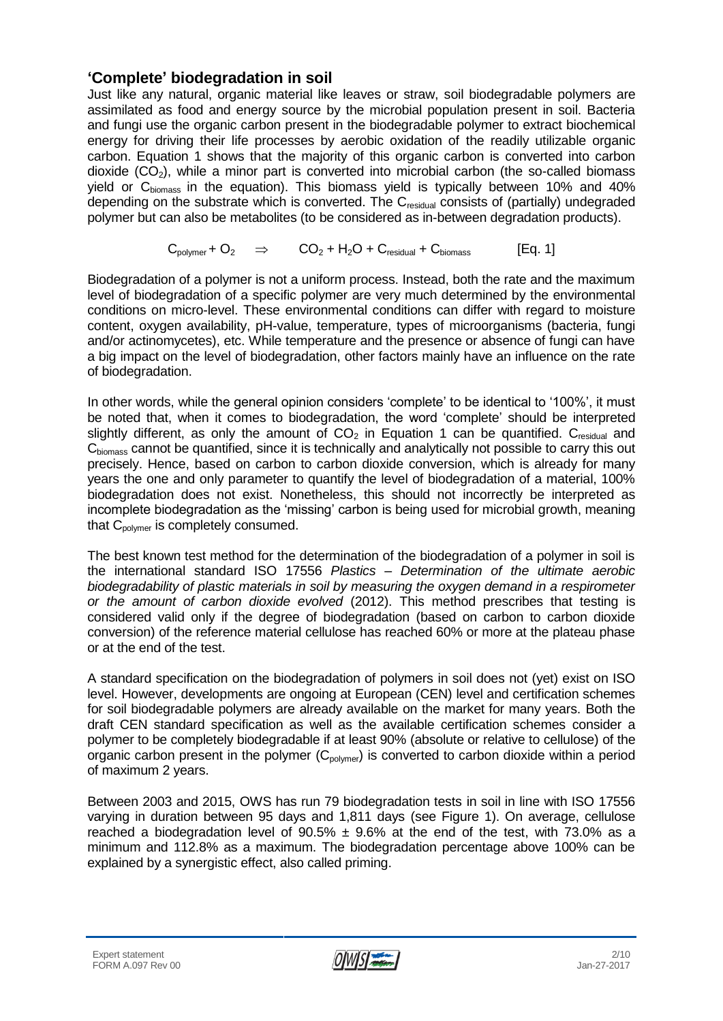### **'Complete' biodegradation in soil**

Just like any natural, organic material like leaves or straw, soil biodegradable polymers are assimilated as food and energy source by the microbial population present in soil. Bacteria and fungi use the organic carbon present in the biodegradable polymer to extract biochemical energy for driving their life processes by aerobic oxidation of the readily utilizable organic carbon. Equation 1 shows that the majority of this organic carbon is converted into carbon dioxide  $(CO<sub>2</sub>)$ , while a minor part is converted into microbial carbon (the so-called biomass yield or  $C_{\text{biomass}}$  in the equation). This biomass yield is typically between 10% and 40% depending on the substrate which is converted. The C<sub>residual</sub> consists of (partially) undegraded polymer but can also be metabolites (to be considered as in-between degradation products).

$$
C_{\text{polymer}} + O_2 \quad \Rightarrow \quad CO_2 + H_2O + C_{\text{residual}} + C_{\text{biomass}} \quad [Eq. 1]
$$

Biodegradation of a polymer is not a uniform process. Instead, both the rate and the maximum level of biodegradation of a specific polymer are very much determined by the environmental conditions on micro-level. These environmental conditions can differ with regard to moisture content, oxygen availability, pH-value, temperature, types of microorganisms (bacteria, fungi and/or actinomycetes), etc. While temperature and the presence or absence of fungi can have a big impact on the level of biodegradation, other factors mainly have an influence on the rate of biodegradation.

In other words, while the general opinion considers 'complete' to be identical to '100%', it must be noted that, when it comes to biodegradation, the word 'complete' should be interpreted slightly different, as only the amount of  $CO<sub>2</sub>$  in Equation 1 can be quantified.  $C<sub>residual</sub>$  and C<sub>hiomass</sub> cannot be quantified, since it is technically and analytically not possible to carry this out precisely. Hence, based on carbon to carbon dioxide conversion, which is already for many years the one and only parameter to quantify the level of biodegradation of a material, 100% biodegradation does not exist. Nonetheless, this should not incorrectly be interpreted as incomplete biodegradation as the 'missing' carbon is being used for microbial growth, meaning that C<sub>polymer</sub> is completely consumed.

The best known test method for the determination of the biodegradation of a polymer in soil is the international standard ISO 17556 *Plastics – Determination of the ultimate aerobic biodegradability of plastic materials in soil by measuring the oxygen demand in a respirometer or the amount of carbon dioxide evolved* (2012). This method prescribes that testing is considered valid only if the degree of biodegradation (based on carbon to carbon dioxide conversion) of the reference material cellulose has reached 60% or more at the plateau phase or at the end of the test.

A standard specification on the biodegradation of polymers in soil does not (yet) exist on ISO level. However, developments are ongoing at European (CEN) level and certification schemes for soil biodegradable polymers are already available on the market for many years. Both the draft CEN standard specification as well as the available certification schemes consider a polymer to be completely biodegradable if at least 90% (absolute or relative to cellulose) of the organic carbon present in the polymer  $(C_{\text{volume}})$  is converted to carbon dioxide within a period of maximum 2 years.

Between 2003 and 2015, OWS has run 79 biodegradation tests in soil in line with ISO 17556 varying in duration between 95 days and 1,811 days (see Figure 1). On average, cellulose reached a biodegradation level of  $90.5\% \pm 9.6\%$  at the end of the test, with 73.0% as a minimum and 112.8% as a maximum. The biodegradation percentage above 100% can be explained by a synergistic effect, also called priming.

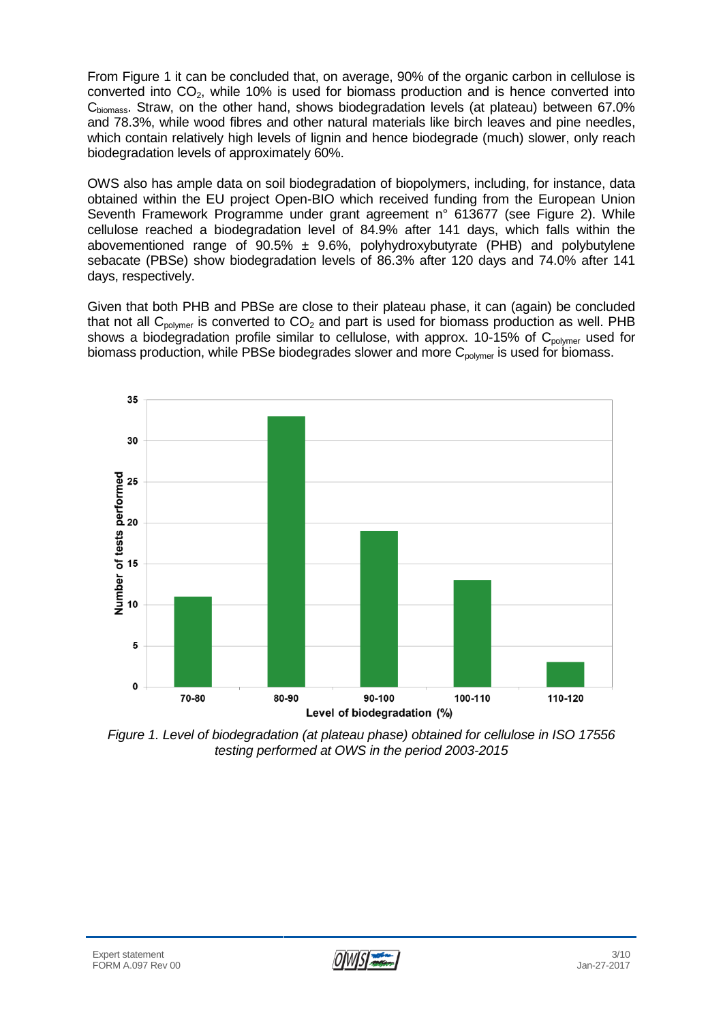From Figure 1 it can be concluded that, on average, 90% of the organic carbon in cellulose is converted into  $CO<sub>2</sub>$ , while 10% is used for biomass production and is hence converted into C<sub>biomass</sub>. Straw, on the other hand, shows biodegradation levels (at plateau) between 67.0% and 78.3%, while wood fibres and other natural materials like birch leaves and pine needles, which contain relatively high levels of lignin and hence biodegrade (much) slower, only reach biodegradation levels of approximately 60%.

OWS also has ample data on soil biodegradation of biopolymers, including, for instance, data obtained within the EU project Open-BIO which received funding from the European Union Seventh Framework Programme under grant agreement n° 613677 (see Figure 2). While cellulose reached a biodegradation level of 84.9% after 141 days, which falls within the abovementioned range of  $90.5\% \pm 9.6\%$ , polyhydroxybutyrate (PHB) and polybutylene sebacate (PBSe) show biodegradation levels of 86.3% after 120 days and 74.0% after 141 days, respectively.

Given that both PHB and PBSe are close to their plateau phase, it can (again) be concluded that not all  $C_{\text{polvmer}}$  is converted to  $CO<sub>2</sub>$  and part is used for biomass production as well. PHB shows a biodegradation profile similar to cellulose, with approx. 10-15% of  $C_{\text{polymer}}$  used for biomass production, while PBSe biodegrades slower and more  $C_{\text{polvmer}}$  is used for biomass.



*Figure 1. Level of biodegradation (at plateau phase) obtained for cellulose in ISO 17556 testing performed at OWS in the period 2003-2015*

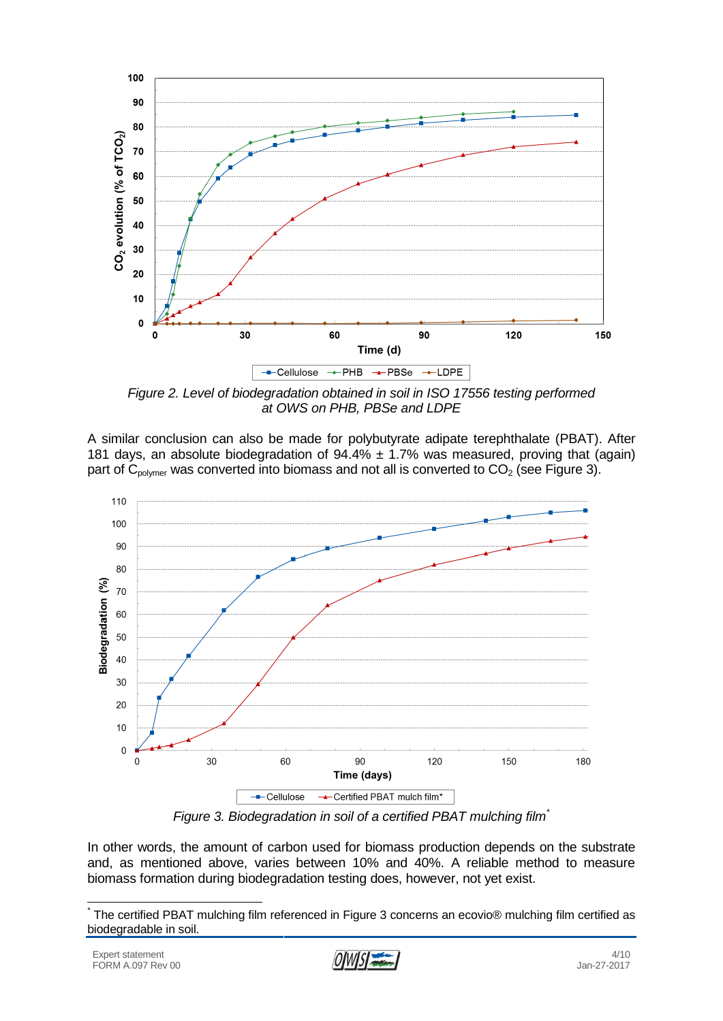

*Figure 2. Level of biodegradation obtained in soil in ISO 17556 testing performed at OWS on PHB, PBSe and LDPE*

A similar conclusion can also be made for polybutyrate adipate terephthalate (PBAT). After 181 days, an absolute biodegradation of  $94.4\% \pm 1.7\%$  was measured, proving that (again) part of  $C_{\text{polymer}}$  was converted into biomass and not all is converted to  $CO_2$  (see Figure 3).



*Figure 3. Biodegradation in soil of a certified PBAT mulching film\**

In other words, the amount of carbon used for biomass production depends on the substrate and, as mentioned above, varies between 10% and 40%. A reliable method to measure biomass formation during biodegradation testing does, however, not yet exist.

 \* The certified PBAT mulching film referenced in Figure 3 concerns an ecovio® mulching film certified as biodegradable in soil.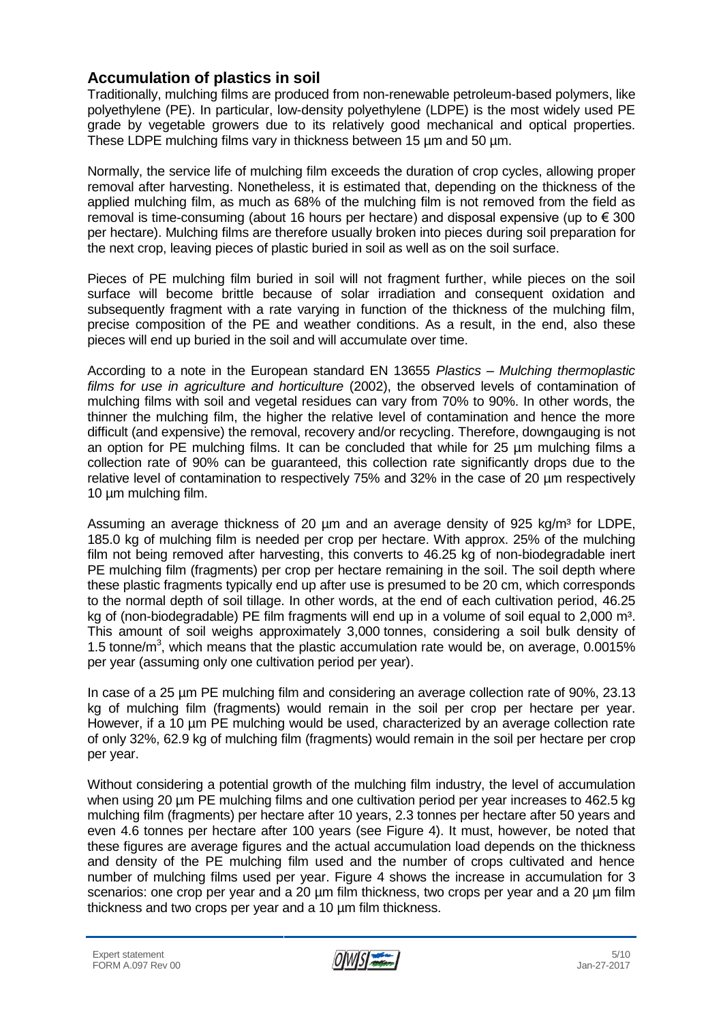### **Accumulation of plastics in soil**

Traditionally, mulching films are produced from non-renewable petroleum-based polymers, like polyethylene (PE). In particular, low-density polyethylene (LDPE) is the most widely used PE grade by vegetable growers due to its relatively good mechanical and optical properties. These LDPE mulching films vary in thickness between 15 µm and 50 µm.

Normally, the service life of mulching film exceeds the duration of crop cycles, allowing proper removal after harvesting. Nonetheless, it is estimated that, depending on the thickness of the applied mulching film, as much as 68% of the mulching film is not removed from the field as removal is time-consuming (about 16 hours per hectare) and disposal expensive (up to  $\epsilon$  300 per hectare). Mulching films are therefore usually broken into pieces during soil preparation for the next crop, leaving pieces of plastic buried in soil as well as on the soil surface.

Pieces of PE mulching film buried in soil will not fragment further, while pieces on the soil surface will become brittle because of solar irradiation and consequent oxidation and subsequently fragment with a rate varying in function of the thickness of the mulching film, precise composition of the PE and weather conditions. As a result, in the end, also these pieces will end up buried in the soil and will accumulate over time.

According to a note in the European standard EN 13655 *Plastics – Mulching thermoplastic films for use in agriculture and horticulture* (2002), the observed levels of contamination of mulching films with soil and vegetal residues can vary from 70% to 90%. In other words, the thinner the mulching film, the higher the relative level of contamination and hence the more difficult (and expensive) the removal, recovery and/or recycling. Therefore, downgauging is not an option for PE mulching films. It can be concluded that while for 25 µm mulching films a collection rate of 90% can be guaranteed, this collection rate significantly drops due to the relative level of contamination to respectively 75% and 32% in the case of 20 µm respectively 10 µm mulching film.

Assuming an average thickness of 20  $\mu$ m and an average density of 925 kg/m<sup>3</sup> for LDPE, 185.0 kg of mulching film is needed per crop per hectare. With approx. 25% of the mulching film not being removed after harvesting, this converts to 46.25 kg of non-biodegradable inert PE mulching film (fragments) per crop per hectare remaining in the soil. The soil depth where these plastic fragments typically end up after use is presumed to be 20 cm, which corresponds to the normal depth of soil tillage. In other words, at the end of each cultivation period, 46.25 kg of (non-biodegradable) PE film fragments will end up in a volume of soil equal to 2,000 m<sup>3</sup>. This amount of soil weighs approximately 3,000 tonnes, considering a soil bulk density of 1.5 tonne/ $m<sup>3</sup>$ , which means that the plastic accumulation rate would be, on average, 0.0015% per year (assuming only one cultivation period per year).

In case of a 25 µm PE mulching film and considering an average collection rate of 90%, 23.13 kg of mulching film (fragments) would remain in the soil per crop per hectare per year. However, if a 10 µm PE mulching would be used, characterized by an average collection rate of only 32%, 62.9 kg of mulching film (fragments) would remain in the soil per hectare per crop per year.

Without considering a potential growth of the mulching film industry, the level of accumulation when using 20 µm PE mulching films and one cultivation period per year increases to 462.5 kg mulching film (fragments) per hectare after 10 years, 2.3 tonnes per hectare after 50 years and even 4.6 tonnes per hectare after 100 years (see Figure 4). It must, however, be noted that these figures are average figures and the actual accumulation load depends on the thickness and density of the PE mulching film used and the number of crops cultivated and hence number of mulching films used per year. Figure 4 shows the increase in accumulation for 3 scenarios: one crop per year and a 20  $\mu$ m film thickness, two crops per year and a 20  $\mu$ m film thickness and two crops per year and a 10 µm film thickness.

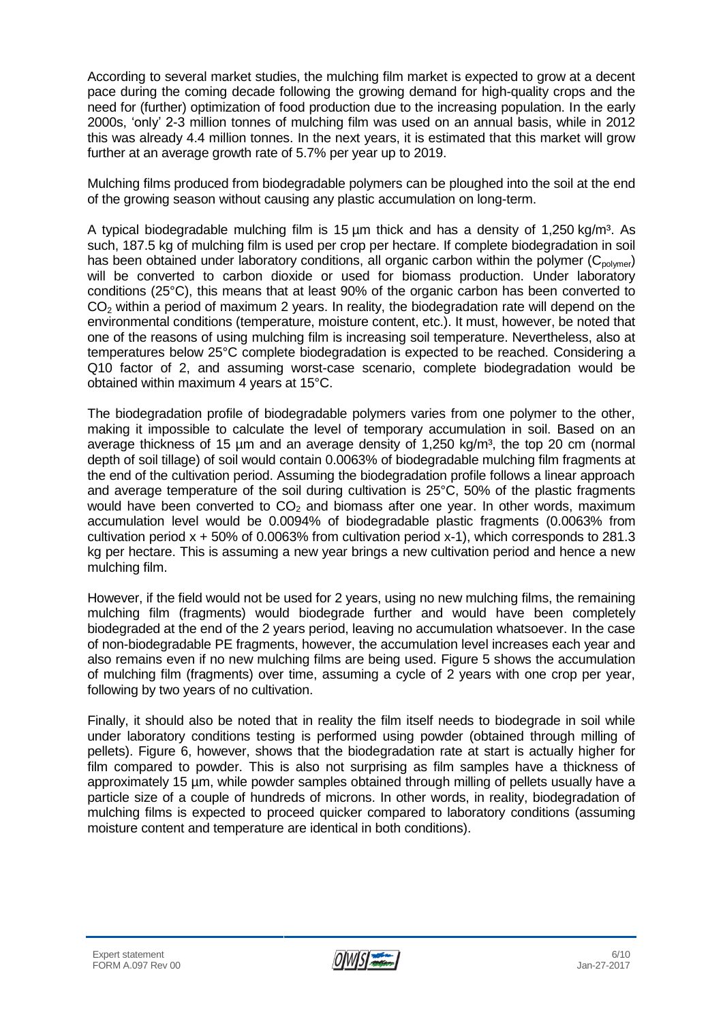According to several market studies, the mulching film market is expected to grow at a decent pace during the coming decade following the growing demand for high-quality crops and the need for (further) optimization of food production due to the increasing population. In the early 2000s, 'only' 2-3 million tonnes of mulching film was used on an annual basis, while in 2012 this was already 4.4 million tonnes. In the next years, it is estimated that this market will grow further at an average growth rate of 5.7% per year up to 2019.

Mulching films produced from biodegradable polymers can be ploughed into the soil at the end of the growing season without causing any plastic accumulation on long-term.

A typical biodegradable mulching film is 15  $\mu$ m thick and has a density of 1,250 kg/m<sup>3</sup>. As such, 187.5 kg of mulching film is used per crop per hectare. If complete biodegradation in soil has been obtained under laboratory conditions, all organic carbon within the polymer  $(C_{\text{volume}})$ will be converted to carbon dioxide or used for biomass production. Under laboratory conditions (25°C), this means that at least 90% of the organic carbon has been converted to  $CO<sub>2</sub>$  within a period of maximum 2 years. In reality, the biodegradation rate will depend on the environmental conditions (temperature, moisture content, etc.). It must, however, be noted that one of the reasons of using mulching film is increasing soil temperature. Nevertheless, also at temperatures below 25°C complete biodegradation is expected to be reached. Considering a Q10 factor of 2, and assuming worst-case scenario, complete biodegradation would be obtained within maximum 4 years at 15°C.

The biodegradation profile of biodegradable polymers varies from one polymer to the other, making it impossible to calculate the level of temporary accumulation in soil. Based on an average thickness of 15  $\mu$ m and an average density of 1,250 kg/m<sup>3</sup>, the top 20 cm (normal depth of soil tillage) of soil would contain 0.0063% of biodegradable mulching film fragments at the end of the cultivation period. Assuming the biodegradation profile follows a linear approach and average temperature of the soil during cultivation is 25°C, 50% of the plastic fragments would have been converted to  $CO<sub>2</sub>$  and biomass after one year. In other words, maximum accumulation level would be 0.0094% of biodegradable plastic fragments (0.0063% from cultivation period  $x + 50\%$  of 0.0063% from cultivation period x-1), which corresponds to 281.3 kg per hectare. This is assuming a new year brings a new cultivation period and hence a new mulching film.

However, if the field would not be used for 2 years, using no new mulching films, the remaining mulching film (fragments) would biodegrade further and would have been completely biodegraded at the end of the 2 years period, leaving no accumulation whatsoever. In the case of non-biodegradable PE fragments, however, the accumulation level increases each year and also remains even if no new mulching films are being used. Figure 5 shows the accumulation of mulching film (fragments) over time, assuming a cycle of 2 years with one crop per year, following by two years of no cultivation.

Finally, it should also be noted that in reality the film itself needs to biodegrade in soil while under laboratory conditions testing is performed using powder (obtained through milling of pellets). Figure 6, however, shows that the biodegradation rate at start is actually higher for film compared to powder. This is also not surprising as film samples have a thickness of approximately 15 µm, while powder samples obtained through milling of pellets usually have a particle size of a couple of hundreds of microns. In other words, in reality, biodegradation of mulching films is expected to proceed quicker compared to laboratory conditions (assuming moisture content and temperature are identical in both conditions).

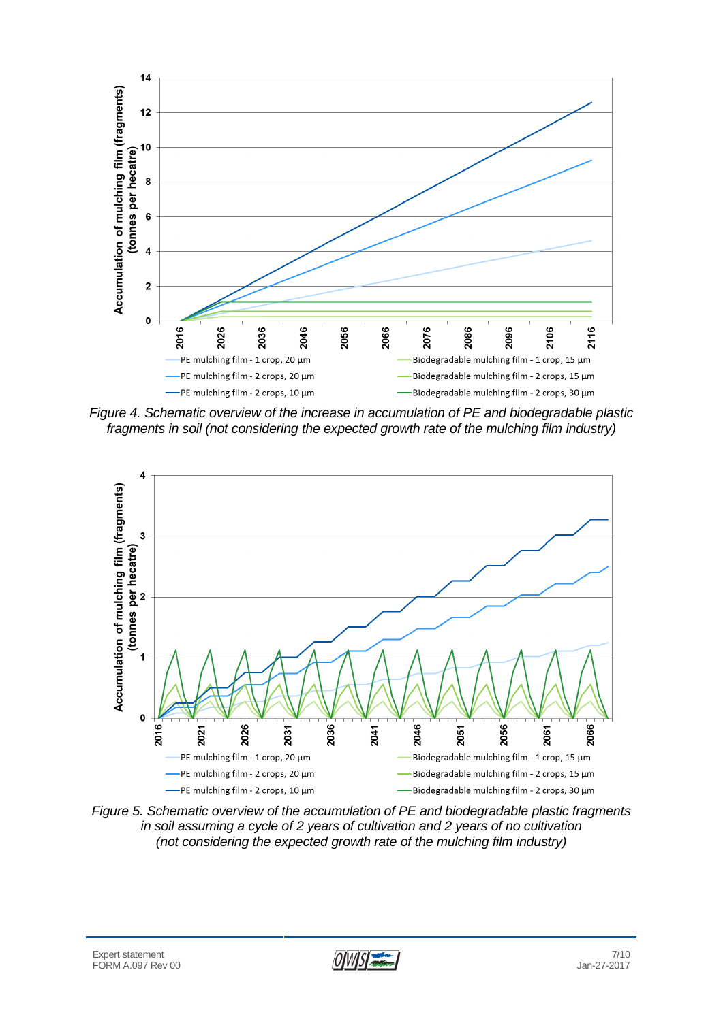

*Figure 4. Schematic overview of the increase in accumulation of PE and biodegradable plastic fragments in soil (not considering the expected growth rate of the mulching film industry)*



*Figure 5. Schematic overview of the accumulation of PE and biodegradable plastic fragments in soil assuming a cycle of 2 years of cultivation and 2 years of no cultivation (not considering the expected growth rate of the mulching film industry)*

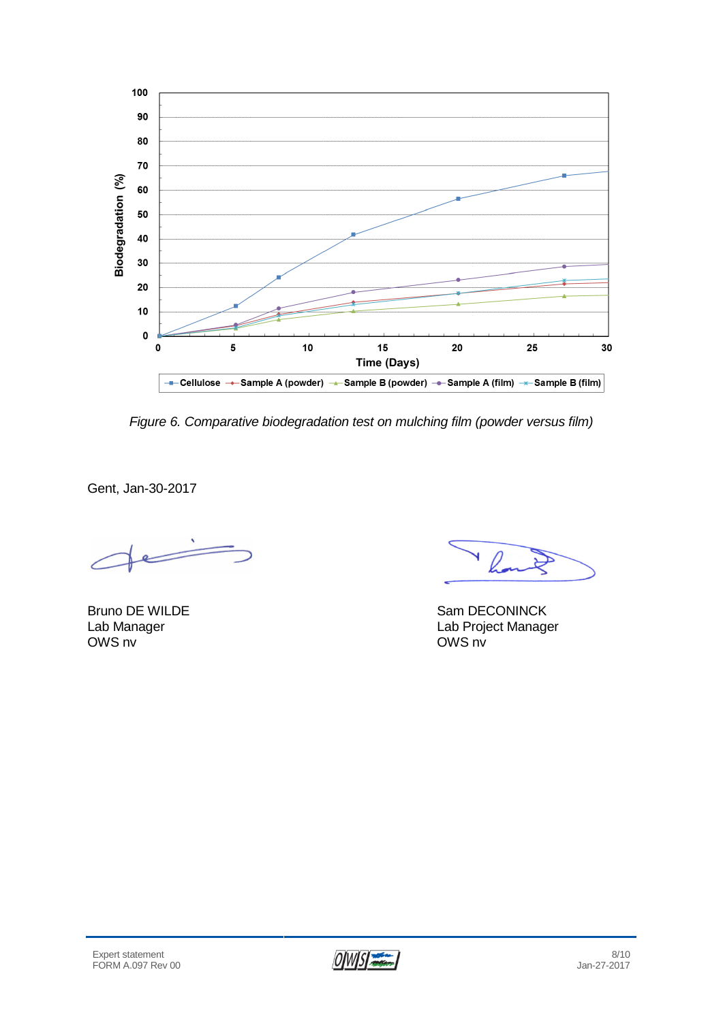

*Figure 6. Comparative biodegradation test on mulching film (powder versus film)*

Gent, Jan-30-2017

 $\overline{\phantom{a}}$ 

l.

Bruno DE WILDE Sam DECONINCK Lab Manager Lab Project Manager OWS nv

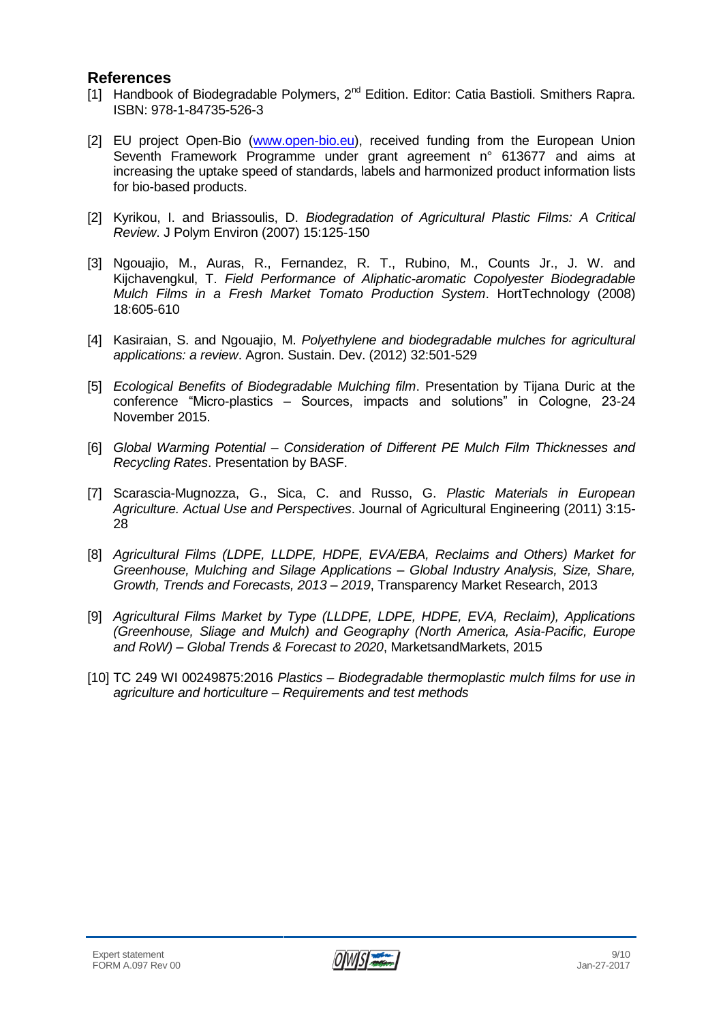#### **References**

- [1] Handbook of Biodegradable Polymers, 2<sup>nd</sup> Edition. Editor: Catia Bastioli. Smithers Rapra. ISBN: 978-1-84735-526-3
- [2] EU project Open-Bio [\(www.open-bio.eu\)](http://www.open-bio.eu/), received funding from the European Union Seventh Framework Programme under grant agreement n° 613677 and aims at increasing the uptake speed of standards, labels and harmonized product information lists for bio-based products.
- [2] Kyrikou, I. and Briassoulis, D. *Biodegradation of Agricultural Plastic Films: A Critical Review*. J Polym Environ (2007) 15:125-150
- [3] Ngouajio, M., Auras, R., Fernandez, R. T., Rubino, M., Counts Jr., J. W. and Kijchavengkul, T. *Field Performance of Aliphatic-aromatic Copolyester Biodegradable Mulch Films in a Fresh Market Tomato Production System*. HortTechnology (2008) 18:605-610
- [4] Kasiraian, S. and Ngouajio, M. *Polyethylene and biodegradable mulches for agricultural applications: a review*. Agron. Sustain. Dev. (2012) 32:501-529
- [5] *Ecological Benefits of Biodegradable Mulching film*. Presentation by Tijana Duric at the conference "Micro-plastics – Sources, impacts and solutions" in Cologne, 23-24 November 2015.
- [6] *Global Warming Potential – Consideration of Different PE Mulch Film Thicknesses and Recycling Rates*. Presentation by BASF.
- [7] Scarascia-Mugnozza, G., Sica, C. and Russo, G. *Plastic Materials in European Agriculture. Actual Use and Perspectives*. Journal of Agricultural Engineering (2011) 3:15- 28
- [8] *Agricultural Films (LDPE, LLDPE, HDPE, EVA/EBA, Reclaims and Others) Market for Greenhouse, Mulching and Silage Applications – Global Industry Analysis, Size, Share, Growth, Trends and Forecasts, 2013 – 2019*, Transparency Market Research, 2013
- [9] *Agricultural Films Market by Type (LLDPE, LDPE, HDPE, EVA, Reclaim), Applications (Greenhouse, Sliage and Mulch) and Geography (North America, Asia-Pacific, Europe and RoW) – Global Trends & Forecast to 2020*, MarketsandMarkets, 2015
- [10] TC 249 WI 00249875:2016 *Plastics – Biodegradable thermoplastic mulch films for use in agriculture and horticulture – Requirements and test methods*